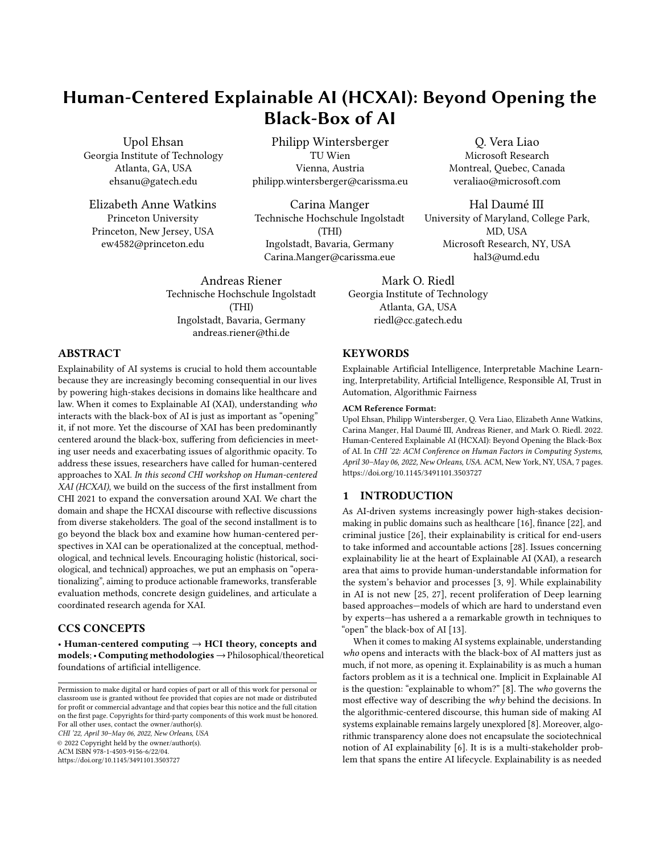# Human-Centered Explainable AI (HCXAI): Beyond Opening the Black-Box of AI

Upol Ehsan Atlanta, GA, USA Georgia Institute of Technology

 Elizabeth Anne Watkins Princeton University

Upol Ehsan Philipp Wintersberger Q. Vera Liao ehsanu@gatech.edu philipp.wintersberger@carissma.eu veraliao@microsoft.com

Princeton, New Jersey, USA (THI) (THI) MD, USA ew4582@princeton.edu Ingolstadt, Bavaria, Germany Microsoft Research, NY, USA Carina Manger Technische Hochschule Ingolstadt Carina.Manger@carissma.eue hal3@umd.edu

> Andreas Riener Ingolstadt, Bavaria, Germany Technische Hochschule Ingolstadt (THI) [andreas.riener@thi.de](mailto:andreas.riener@thi.de)

Atlanta, GA, USA Vienna, Austria Montreal, Quebec, Canada

Hal Daumé III University of Maryland, College Park,

 Mark O. Riedl Atlanta, GA, USA Georgia Institute of Technology [riedl@cc.gatech.edu](mailto:riedl@cc.gatech.edu)

# ABSTRACT

 Explainability of AI systems is crucial to hold them accountable because they are increasingly becoming consequential in our lives by powering high-stakes decisions in domains like healthcare and law. When it comes to Explainable AI (XAI), understanding who interacts with the black-box of AI is just as important as "opening" it, if not more. Yet the discourse of XAI has been predominantly centered around the black-box, sufering from defciencies in meet- ing user needs and exacerbating issues of algorithmic opacity. To address these issues, researchers have called for human-centered approaches to XAI. In this second CHI workshop on Human-centered XAI (HCXAI), we build on the success of the first installment from CHI 2021 to expand the conversation around XAI. We chart the domain and shape the HCXAI discourse with refective discussions from diverse stakeholders. The goal of the second installment is to go beyond the black box and examine how human-centered per- spectives in XAI can be operationalized at the conceptual, method- ological, and technical levels. Encouraging holistic (historical, soci- ological, and technical) approaches, we put an emphasis on "opera- tionalizing", aiming to produce actionable frameworks, transferable evaluation methods, concrete design guidelines, and articulate a coordinated research agenda for XAI.

# CCS CONCEPTS

• Human-centered computing  $\rightarrow$  HCI theory, concepts and models;• Computing methodologies→Philosophical/theoretical foundations of artifcial intelligence.

CHI '22, April 30–May 06, 2022, New Orleans, USA

© 2022 Copyright held by the owner/author(s).

 ACM ISBN 978-1-4503-9156-6/22/04. <https://doi.org/10.1145/3491101.3503727>

### **KEYWORDS**

 Explainable Artifcial Intelligence, Interpretable Machine Learn- ing, Interpretability, Artifcial Intelligence, Responsible AI, Trust in Automation, Algorithmic Fairness

### ACM Reference Format:

 Upol Ehsan, Philipp Wintersberger, Q. Vera Liao, Elizabeth Anne Watkins, Carina Manger, Hal Daumé III, Andreas Riener, and Mark O. Riedl. 2022. Human-Centered Explainable AI (HCXAI): Beyond Opening the Black-Box of AI. In CHI '22: ACM Conference on Human Factors in Computing Systems, April 30–May 06, 2022, New Orleans, USA. ACM, New York, NY, USA, [7](#page-6-0) pages. <https://doi.org/10.1145/3491101.3503727>

# 1 INTRODUCTION

 As AI-driven systems increasingly power high-stakes decision- making in public domains such as healthcare [\[16\]](#page-6-1), fnance [\[22\]](#page-6-2), and criminal justice [\[26\]](#page-6-3), their explainability is critical for end-users to take informed and accountable actions [\[28\]](#page-6-4). Issues concerning explainability lie at the heart of Explainable AI (XAI), a research area that aims to provide human-understandable information for the system's behavior and processes [\[3,](#page-5-0) [9\]](#page-5-1). While explainability in AI is not new [\[25,](#page-6-5) [27\]](#page-6-6), recent proliferation of Deep learning based approaches—models of which are hard to understand even by experts—has ushered a a remarkable growth in techniques to "open" the black-box of AI [\[13\]](#page-6-7).

 When it comes to making AI systems explainable, understanding who opens and interacts with the black-box of AI matters just as much, if not more, as opening it. Explainability is as much a human factors problem as it is a technical one. Implicit in Explainable AI is the question: "explainable to whom?" [\[8\]](#page-5-2). The who governs the most effective way of describing the why behind the decisions. In the algorithmic-centered discourse, this human side of making AI systems explainable remains largely unexplored [\[8\]](#page-5-2). Moreover, algo- rithmic transparency alone does not encapsulate the sociotechnical notion of AI explainability [\[6\]](#page-5-3). It is is a multi-stakeholder prob-lem that spans the entire AI lifecycle. Explainability is as needed

 Permission to make digital or hard copies of part or all of this work for personal or classroom use is granted without fee provided that copies are not made or distributed for proft or commercial advantage and that copies bear this notice and the full citation on the frst page. Copyrights for third-party components of this work must be honored. For all other uses, contact the owner/author(s).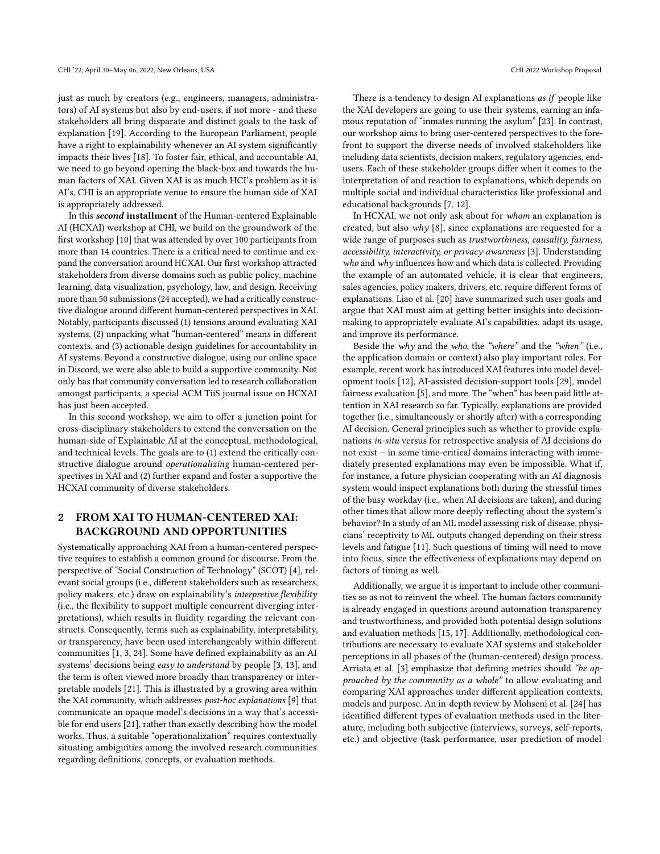just as much by creators (e.g., engineers, managers, administra- tors) of AI systems but also by end-users, if not more - and these stakeholders all bring disparate and distinct goals to the task of explanation [\[19\]](#page-6-8). According to the European Parliament, people have a right to explainability whenever an AI system signifcantly impacts their lives [\[18\]](#page-6-9). To foster fair, ethical, and accountable AI, we need to go beyond opening the black-box and towards the hu- man factors of XAI. Given XAI is as much HCI's problem as it is AI's, CHI is an appropriate venue to ensure the human side of XAI is appropriately addressed.

In this second installment of the Human-centered Explainable AI (HCXAI) workshop at CHI, we build on the groundwork of the frst workshop [\[10\]](#page-5-4) that was attended by over 100 participants from more than 14 countries. There is a critical need to continue and ex- pand the conversation around HCXAI. Our frst workshop attracted stakeholders from diverse domains such as public policy, machine learning, data visualization, psychology, law, and design. Receiving more than 50 submissions(24 accepted), we had a critically construc- tive dialogue around diferent human-centered perspectives in XAI. Notably, participants discussed (1) tensions around evaluating XAI systems, (2) unpacking what "human-centered" means in diferent contexts, and (3) actionable design guidelines for accountability in AI systems. Beyond a constructive dialogue, using our online space in Discord, we were also able to build a supportive community. Not only has that community conversation led to research collaboration amongst participants, a special ACM TiiS journal issue on HCXAI has just been accepted.

In this second workshop, we aim to offer a junction point for cross-disciplinary stakeholders to extend the conversation on the human-side of Explainable AI at the conceptual, methodological, and technical levels. The goals are to (1) extend the critically constructive dialogue around operationalizing human-centered per- spectives in XAI and (2) further expand and foster a supportive the HCXAI community of diverse stakeholders.

# 2 FROM XAI TO HUMAN-CENTERED XAI: BACKGROUND AND OPPORTUNITIES

 Systematically approaching XAI from a human-centered perspec- tive requires to establish a common ground for discourse. From the perspective of "Social Construction of Technology" (SCOT) [\[4\]](#page-5-5), rel- evant social groups (i.e., diferent stakeholders such as researchers, policy makers, etc.) draw on explainability's interpretive flexibility (i.e., the fexibility to support multiple concurrent diverging inter- pretations), which results in fuidity regarding the relevant con- structs. Consequently, terms such as explainability, interpretability, or transparency, have been used interchangeably within diferent communities [\[1,](#page-5-6) [3,](#page-5-0) [24\]](#page-6-10). Some have defned explainability as an AI systems' decisions being easy to understand by people [\[3,](#page-5-0) [13\]](#page-6-7), and the term is often viewed more broadly than transparency or inter- pretable models [\[21\]](#page-6-11). This is illustrated by a growing area within the XAI community, which addresses *post-hoc explanations* [\[9\]](#page-5-1) that communicate an opaque model's decisions in a way that's accessi- ble for end users [\[21\]](#page-6-11), rather than exactly describing how the model works. Thus, a suitable "operationalization" requires contextually situating ambiguities among the involved research communities regarding defnitions, concepts, or evaluation methods.

There is a tendency to design AI explanations as if people like the XAI developers are going to use their systems, earning an infa- mous reputation of "inmates running the asylum" [\[23\]](#page-6-12). In contrast, our workshop aims to bring user-centered perspectives to the fore- front to support the diverse needs of involved stakeholders like including data scientists, decision makers, regulatory agencies, end- users. Each of these stakeholder groups difer when it comes to the interpretation of and reaction to explanations, which depends on multiple social and individual characteristics like professional and educational backgrounds [\[7,](#page-5-7) [12\]](#page-6-13).

In HCXAI, we not only ask about for whom an explanation is created, but also why [\[8\]](#page-5-2), since explanations are requested for a wide range of purposes such as trustworthiness, causality, fairness, accessibility, interactivity, or privacy-awareness [\[3\]](#page-5-0). Understanding who and why influences how and which data is collected. Providing the example of an automated vehicle, it is clear that engineers, sales agencies, policy makers, drivers, etc. require diferent forms of explanations. Liao et al. [\[20\]](#page-6-14) have summarized such user goals and argue that XAI must aim at getting better insights into decision- making to appropriately evaluate AI's capabilities, adapt its usage, and improve its performance.

Beside the why and the who, the "where" and the "when" (i.e., the application domain or context) also play important roles. For example, recent work has introduced XAI features into model devel- opment tools [\[12\]](#page-6-13), AI-assisted decision-support tools [\[29\]](#page-6-15), model fairness evaluation [\[5\]](#page-5-8), and more. The "when" has been paid little at- tention in XAI research so far. Typically, explanations are provided together (i.e., simultaneously or shortly after) with a corresponding AI decision. General principles such as whether to provide expla- nations in-situ versus for retrospective analysis of AI decisions do not exist – in some time-critical domains interacting with imme- diately presented explanations may even be impossible. What if, for instance, a future physician cooperating with an AI diagnosis system would inspect explanations both during the stressful times of the busy workday (i.e., when AI decisions are taken), and during other times that allow more deeply refecting about the system's behavior? In a study of an ML model assessing risk of disease, physi- cians' receptivity to ML outputs changed depending on their stress levels and fatigue [\[11\]](#page-6-16). Such questions of timing will need to move into focus, since the efectiveness of explanations may depend on factors of timing as well.

 Additionally, we argue it is important to include other communi- ties so as not to reinvent the wheel. The human factors community is already engaged in questions around automation transparency and trustworthiness, and provided both potential design solutions and evaluation methods [\[15,](#page-6-17) [17\]](#page-6-18). Additionally, methodological con- tributions are necessary to evaluate XAI systems and stakeholder perceptions in all phases of the (human-centered) design process. Arriata et al. [\[3\]](#page-5-0) emphasize that defining metrics should "be approached by the community as a whole" to allow evaluating and comparing XAI approaches under diferent application contexts, models and purpose. An in-depth review by Mohseni et al. [\[24\]](#page-6-10) has identifed diferent types of evaluation methods used in the liter- ature, including both subjective (interviews, surveys, self-reports, etc.) and objective (task performance, user prediction of model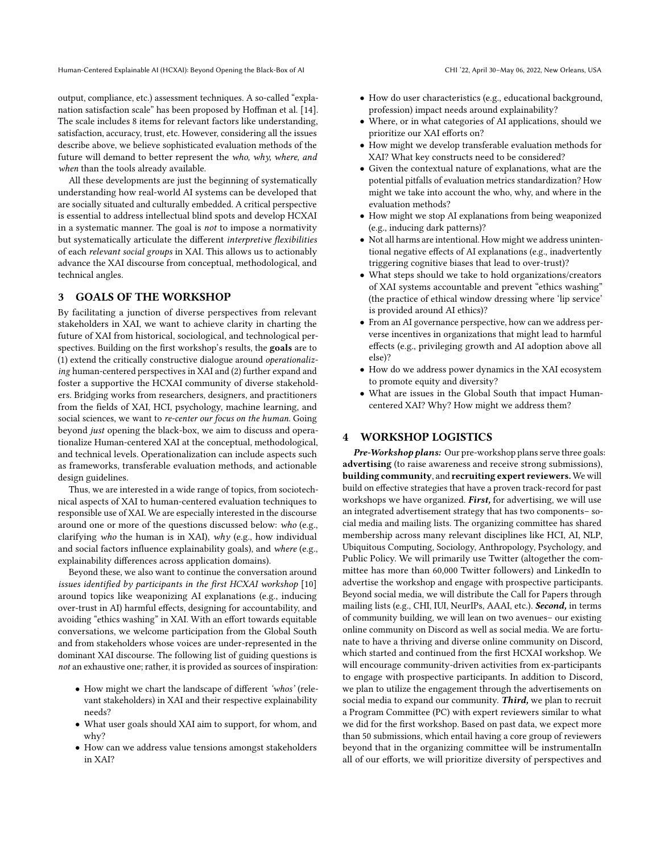Human-Centered Explainable AI (HCXAI): Beyond Opening the Black-Box of AI

 output, compliance, etc.) assessment techniques. A so-called "expla- nation satisfaction scale" has been proposed by Hofman et al. [\[14\]](#page-6-19). The scale includes 8 items for relevant factors like understanding, satisfaction, accuracy, trust, etc. However, considering all the issues describe above, we believe sophisticated evaluation methods of the future will demand to better represent the who, why, where, and when than the tools already available.

 All these developments are just the beginning of systematically understanding how real-world AI systems can be developed that are socially situated and culturally embedded. A critical perspective is essential to address intellectual blind spots and develop HCXAI in a systematic manner. The goal is not to impose a normativity but systematically articulate the different interpretive flexibilities of each relevant social groups in XAI. This allows us to actionably advance the XAI discourse from conceptual, methodological, and technical angles.

#### 3 3 GOALS OF THE WORKSHOP

 By facilitating a junction of diverse perspectives from relevant stakeholders in XAI, we want to achieve clarity in charting the future of XAI from historical, sociological, and technological perspectives. Building on the first workshop's results, the goals are to (1) extend the critically constructive dialogue around operationaliz- ing human-centered perspectives in XAI and (2) further expand and foster a supportive the HCXAI community of diverse stakehold- ers. Bridging works from researchers, designers, and practitioners from the felds of XAI, HCI, psychology, machine learning, and social sciences, we want to re-center our focus on the human. Going beyond just opening the black-box, we aim to discuss and opera- tionalize Human-centered XAI at the conceptual, methodological, and technical levels. Operationalization can include aspects such as frameworks, transferable evaluation methods, and actionable design guidelines.

 Thus, we are interested in a wide range of topics, from sociotech- nical aspects of XAI to human-centered evaluation techniques to responsible use of XAI. We are especially interested in the discourse around one or more of the questions discussed below: who (e.g., clarifying who the human is in XAI), why (e.g., how individual and social factors influence explainability goals), and where (e.g., explainability diferences across application domains).

 Beyond these, we also want to continue the conversation around issues identifed by participants in the frst HCXAI workshop [\[10\]](#page-5-4) around topics like weaponizing AI explanations (e.g., inducing over-trust in AI) harmful efects, designing for accountability, and avoiding "ethics washing" in XAI. With an effort towards equitable conversations, we welcome participation from the Global South and from stakeholders whose voices are under-represented in the dominant XAI discourse. The following list of guiding questions is not an exhaustive one; rather, it is provided as sources of inspiration:

- • How might we chart the landscape of diferent 'whos' (rele- vant stakeholders) in XAI and their respective explainability needs?
- • What user goals should XAI aim to support, for whom, and why?
- • How can we address value tensions amongst stakeholders in XAI?
- • How do user characteristics (e.g., educational background, profession) impact needs around explainability?
- • Where, or in what categories of AI applications, should we prioritize our XAI eforts on?
- • How might we develop transferable evaluation methods for XAI? What key constructs need to be considered?
- • Given the contextual nature of explanations, what are the potential pitfalls of evaluation metrics standardization? How might we take into account the who, why, and where in the evaluation methods?
- • How might we stop AI explanations from being weaponized (e.g., inducing dark patterns)?
- • Not all harms are intentional. How might we address uninten- tional negative efects of AI explanations (e.g., inadvertently triggering cognitive biases that lead to over-trust)?
- • What steps should we take to hold organizations/creators of XAI systems accountable and prevent "ethics washing" (the practice of ethical window dressing where 'lip service' is provided around AI ethics)?
- • From an AI governance perspective, how can we address per- verse incentives in organizations that might lead to harmful efects (e.g., privileging growth and AI adoption above all else)?
- • How do we address power dynamics in the XAI ecosystem to promote equity and diversity?
- • What are issues in the Global South that impact Human-centered XAI? Why? How might we address them?

### 4 WORKSHOP LOGISTICS

Pre-Workshop plans: Our pre-workshop plans serve three goals: advertising (to raise awareness and receive strong submissions), building community, and recruiting expert reviewers. We will build on efective strategies that have a proven track-record for past workshops we have organized. First, for advertising, we will use an integrated advertisement strategy that has two components– so- cial media and mailing lists. The organizing committee has shared membership across many relevant disciplines like HCI, AI, NLP, Ubiquitous Computing, Sociology, Anthropology, Psychology, and Public Policy. We will primarily use Twitter (altogether the com- mittee has more than 60,000 Twitter followers) and LinkedIn to advertise the workshop and engage with prospective participants. Beyond social media, we will distribute the Call for Papers through mailing lists (e.g., CHI, IUI, NeurIPs, AAAI, etc.). **Second,** in terms of community building, we will lean on two avenues– our existing online community on Discord as well as social media. We are fortu- nate to have a thriving and diverse online community on Discord, which started and continued from the frst HCXAI workshop. We will encourage community-driven activities from ex-participants to engage with prospective participants. In addition to Discord, we plan to utilize the engagement through the advertisements on social media to expand our community. Third, we plan to recruit a Program Committee (PC) with expert reviewers similar to what we did for the frst workshop. Based on past data, we expect more than 50 submissions, which entail having a core group of reviewers beyond that in the organizing committee will be instrumentalIn all of our efforts, we will prioritize diversity of perspectives and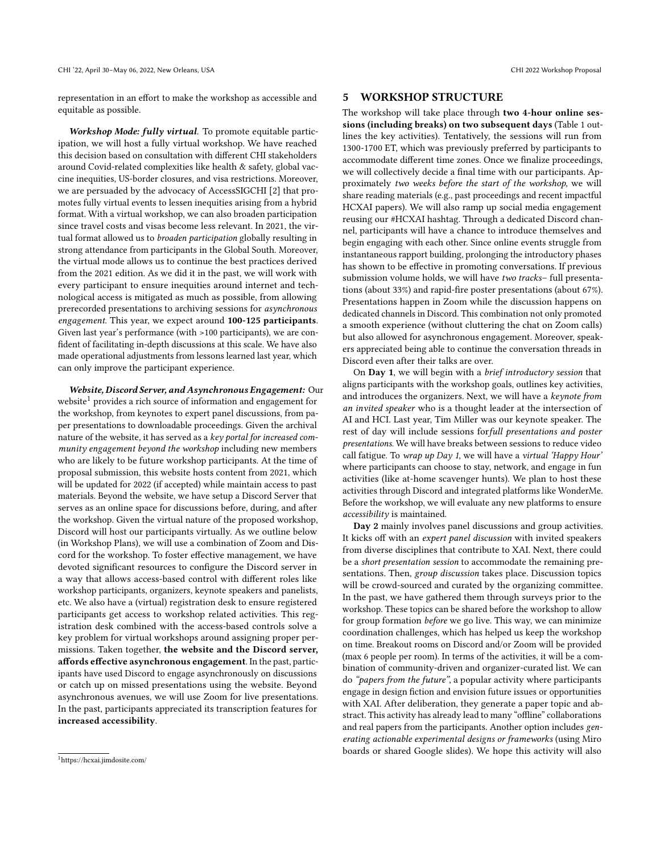CHI '22, April 30–May 06, 2022, New Orleans, USA CHI 2022 Workshop Proposal

representation in an effort to make the workshop as accessible and equitable as possible.

Workshop Mode: fully virtual. To promote equitable partic- ipation, we will host a fully virtual workshop. We have reached this decision based on consultation with diferent CHI stakeholders around Covid-related complexities like health & safety, global vac- cine inequities, US-border closures, and visa restrictions. Moreover, we are persuaded by the advocacy of AccessSIGCHI [\[2\]](#page-5-9) that pro- motes fully virtual events to lessen inequities arising from a hybrid format. With a virtual workshop, we can also broaden participation since travel costs and visas become less relevant. In 2021, the virtual format allowed us to *broaden participation* globally resulting in strong attendance from participants in the Global South. Moreover, the virtual mode allows us to continue the best practices derived from the 2021 edition. As we did it in the past, we will work with every participant to ensure inequities around internet and tech- nological access is mitigated as much as possible, from allowing prerecorded presentations to archiving sessions for asynchronous engagement. This year, we expect around 100-125 participants. Given last year's performance (with >100 participants), we are con- fdent of facilitating in-depth discussions at this scale. We have also made operational adjustments from lessons learned last year, which can only improve the participant experience.

Website, Discord Server, and Asynchronous Engagement: Our website<sup>1</sup> provides a rich source of information and engagement for the workshop, from keynotes to expert panel discussions, from pa- per presentations to downloadable proceedings. Given the archival nature of the website, it has served as a *key portal for increased com*- munity engagement beyond the workshop including new members who are likely to be future workshop participants. At the time of proposal submission, this website hosts content from 2021, which will be updated for 2022 (if accepted) while maintain access to past materials. Beyond the website, we have setup a Discord Server that serves as an online space for discussions before, during, and after the workshop. Given the virtual nature of the proposed workshop, Discord will host our participants virtually. As we outline below (in Workshop Plans), we will use a combination of Zoom and Discord for the workshop. To foster effective management, we have devoted signifcant resources to confgure the Discord server in a way that allows access-based control with diferent roles like workshop participants, organizers, keynote speakers and panelists, etc. We also have a (virtual) registration desk to ensure registered participants get access to workshop related activities. This reg- istration desk combined with the access-based controls solve a key problem for virtual workshops around assigning proper permissions. Taken together, the website and the Discord server, affords effective asynchronous engagement. In the past, partic- ipants have used Discord to engage asynchronously on discussions or catch up on missed presentations using the website. Beyond asynchronous avenues, we will use Zoom for live presentations. In the past, participants appreciated its transcription features for increased accessibility.

# 5 WORKSHOP STRUCTURE

The workshop will take place through two 4-hour online ses- sions (including breaks) on two subsequent days (Table [1](#page-4-0) out- lines the key activities). Tentatively, the sessions will run from 1300-1700 ET, which was previously preferred by participants to accommodate diferent time zones. Once we fnalize proceedings, we will collectively decide a fnal time with our participants. Ap- proximately two weeks before the start of the workshop, we will share reading materials (e.g., past proceedings and recent impactful HCXAI papers). We will also ramp up social media engagement reusing our #HCXAI hashtag. Through a dedicated Discord chan- nel, participants will have a chance to introduce themselves and begin engaging with each other. Since online events struggle from instantaneous rapport building, prolonging the introductory phases has shown to be efective in promoting conversations. If previous submission volume holds, we will have two tracks- full presenta- tions (about 33%) and rapid-fre poster presentations (about 67%). Presentations happen in Zoom while the discussion happens on dedicated channels in Discord. This combination not only promoted a smooth experience (without cluttering the chat on Zoom calls) but also allowed for asynchronous engagement. Moreover, speak- ers appreciated being able to continue the conversation threads in Discord even after their talks are over.

On Day 1, we will begin with a brief introductory session that aligns participants with the workshop goals, outlines key activities, and introduces the organizers. Next, we will have a keynote from an invited speaker who is a thought leader at the intersection of AI and HCI. Last year, Tim Miller was our keynote speaker. The rest of day will include sessions forfull presentations and poster presentations. We will have breaks between sessions to reduce video call fatigue. To wrap up Day 1, we will have a virtual 'Happy Hour' where participants can choose to stay, network, and engage in fun activities (like at-home scavenger hunts). We plan to host these activities through Discord and integrated platforms like WonderMe. Before the workshop, we will evaluate any new platforms to ensure accessibility is maintained.

Day 2 mainly involves panel discussions and group activities. It kicks off with an expert panel discussion with invited speakers from diverse disciplines that contribute to XAI. Next, there could be a short presentation session to accommodate the remaining presentations. Then, group discussion takes place. Discussion topics will be crowd-sourced and curated by the organizing committee. In the past, we have gathered them through surveys prior to the workshop. These topics can be shared before the workshop to allow for group formation before we go live. This way, we can minimize coordination challenges, which has helped us keep the workshop on time. Breakout rooms on Discord and/or Zoom will be provided (max 6 people per room). In terms of the activities, it will be a com- bination of community-driven and organizer-curated list. We can do "papers from the future", a popular activity where participants engage in design fction and envision future issues or opportunities with XAI. After deliberation, they generate a paper topic and abstract. This activity has already lead to many "offline" collaborations and real papers from the participants. Another option includes gen- erating actionable experimental designs or frameworks (using Miro boards or shared Google slides). We hope this activity will also

<span id="page-3-0"></span>[<sup>1</sup>](https://1https://hcxai.jimdosite.com)<https://hcxai.jimdosite.com/>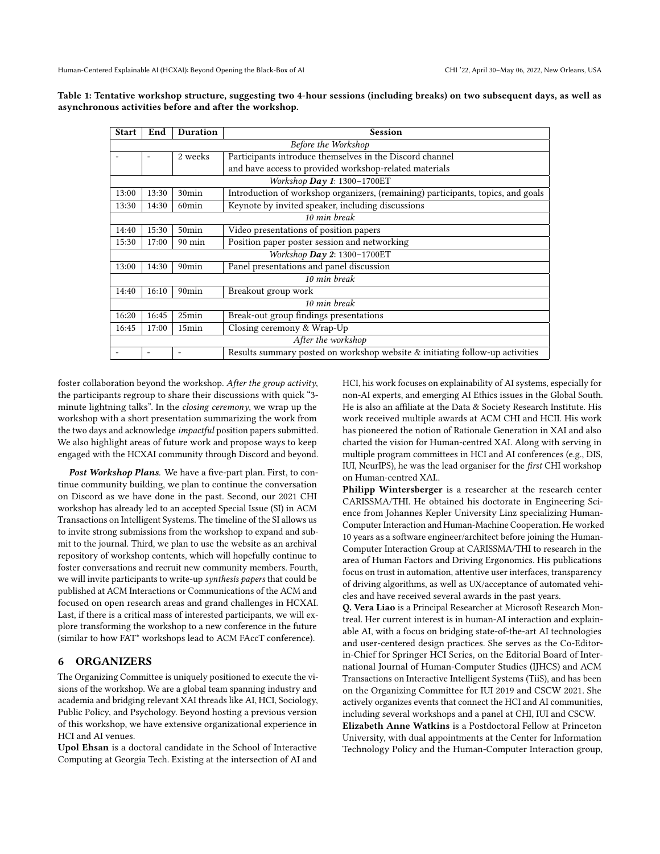| <b>Start</b>                  | End   | Duration          | <b>Session</b>                                                                   |
|-------------------------------|-------|-------------------|----------------------------------------------------------------------------------|
| Before the Workshop           |       |                   |                                                                                  |
|                               |       | 2 weeks           | Participants introduce themselves in the Discord channel                         |
|                               |       |                   | and have access to provided workshop-related materials                           |
| Workshop $Day 1: 1300-1700ET$ |       |                   |                                                                                  |
| 13:00                         | 13:30 | 30min             | Introduction of workshop organizers, (remaining) participants, topics, and goals |
| 13:30                         | 14:30 | 60 <sub>min</sub> | Keynote by invited speaker, including discussions                                |
| 10 min break                  |       |                   |                                                                                  |
| 14:40                         | 15:30 | 50 <sub>min</sub> | Video presentations of position papers                                           |
| 15:30                         | 17:00 | 90 min            | Position paper poster session and networking                                     |
| Workshop Day 2: $1300-1700ET$ |       |                   |                                                                                  |
| 13:00                         | 14:30 | 90 <sub>min</sub> | Panel presentations and panel discussion                                         |
| 10 min break                  |       |                   |                                                                                  |
| 14:40                         | 16:10 | 90 <sub>min</sub> | Breakout group work                                                              |
| 10 min break                  |       |                   |                                                                                  |
| 16:20                         | 16:45 | 25min             | Break-out group findings presentations                                           |
| 16:45                         | 17:00 | 15 <sub>min</sub> | Closing ceremony & Wrap-Up                                                       |
| After the workshop            |       |                   |                                                                                  |
|                               |       |                   | Results summary posted on workshop website & initiating follow-up activities     |

<span id="page-4-0"></span> Table 1: Tentative workshop structure, suggesting two 4-hour sessions (including breaks) on two subsequent days, as well as asynchronous activities before and after the workshop.

foster collaboration beyond the workshop. After the group activity, the participants regroup to share their discussions with quick "3 minute lightning talks". In the closing ceremony, we wrap up the workshop with a short presentation summarizing the work from the two days and acknowledge *impactful* position papers submitted. We also highlight areas of future work and propose ways to keep engaged with the HCXAI community through Discord and beyond.

Post Workshop Plans. We have a five-part plan. First, to con- tinue community building, we plan to continue the conversation on Discord as we have done in the past. Second, our 2021 CHI workshop has already led to an accepted Special Issue (SI) in ACM Transactions on Intelligent Systems. The timeline of the SI allows us to invite strong submissions from the workshop to expand and sub- mit to the journal. Third, we plan to use the website as an archival repository of workshop contents, which will hopefully continue to foster conversations and recruit new community members. Fourth, we will invite participants to write-up synthesis papers that could be published at ACM Interactions or Communications of the ACM and focused on open research areas and grand challenges in HCXAI. Last, if there is a critical mass of interested participants, we will ex- plore transforming the workshop to a new conference in the future (similar to how FAT\* workshops lead to ACM FAccT conference).

### 6 ORGANIZERS

 The Organizing Committee is uniquely positioned to execute the vi- sions of the workshop. We are a global team spanning industry and academia and bridging relevant XAI threads like AI, HCI, Sociology, Public Policy, and Psychology. Beyond hosting a previous version of this workshop, we have extensive organizational experience in HCI and AI venues.

 Upol Ehsan is a doctoral candidate in the School of Interactive Computing at Georgia Tech. Existing at the intersection of AI and  HCI, his work focuses on explainability of AI systems, especially for non-AI experts, and emerging AI Ethics issues in the Global South. He is also an afliate at the Data & Society Research Institute. His work received multiple awards at ACM CHI and HCII. His work has pioneered the notion of Rationale Generation in XAI and also charted the vision for Human-centred XAI. Along with serving in multiple program committees in HCI and AI conferences (e.g., DIS, IUI, NeurIPS), he was the lead organiser for the *first* CHI workshop on Human-centred XAI..

Philipp Wintersberger is a researcher at the research center CARISSMA/THI. He obtained his doctorate in Engineering Sci- ence from Johannes Kepler University Linz specializing Human-Computer Interaction and Human-Machine Cooperation. He worked 10 years as a software engineer/architect before joining the Human- Computer Interaction Group at CARISSMA/THI to research in the area of Human Factors and Driving Ergonomics. His publications focus on trust in automation, attentive user interfaces, transparency of driving algorithms, as well as UX/acceptance of automated vehi-cles and have received several awards in the past years.

 Q. Vera Liao is a Principal Researcher at Microsoft Research Mon- treal. Her current interest is in human-AI interaction and explain- able AI, with a focus on bridging state-of-the-art AI technologies and user-centered design practices. She serves as the Co-Editor- in-Chief for Springer HCI Series, on the Editorial Board of Inter- national Journal of Human-Computer Studies (IJHCS) and ACM Transactions on Interactive Intelligent Systems (TiiS), and has been on the Organizing Committee for IUI 2019 and CSCW 2021. She actively organizes events that connect the HCI and AI communities, including several workshops and a panel at CHI, IUI and CSCW. Elizabeth Anne Watkins is a Postdoctoral Fellow at Princeton University, with dual appointments at the Center for Information

Technology Policy and the Human-Computer Interaction group,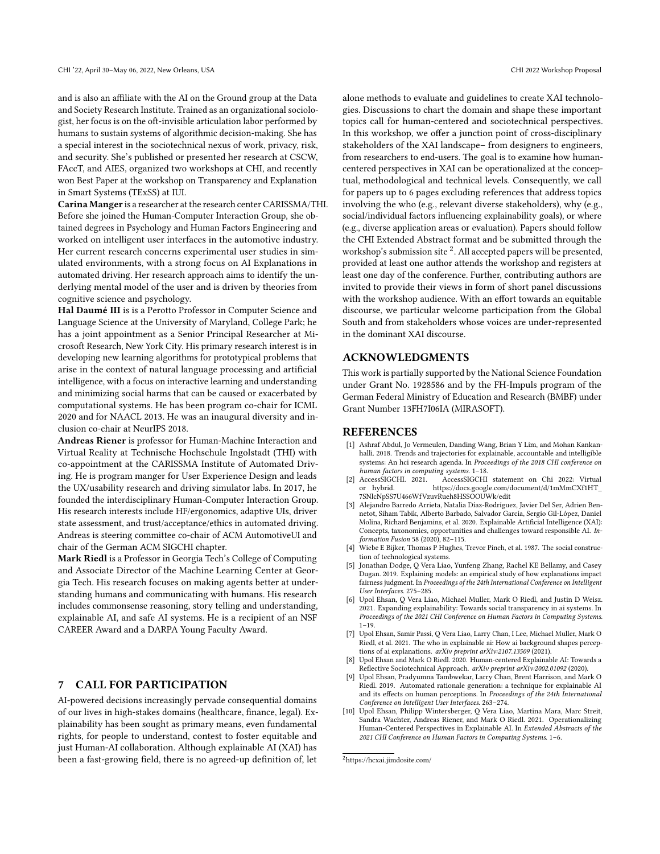and is also an afliate with the AI on the Ground group at the Data and Society Research Institute. Trained as an organizational sociolo- gist, her focus is on the oft-invisible articulation labor performed by humans to sustain systems of algorithmic decision-making. She has a special interest in the sociotechnical nexus of work, privacy, risk, and security. She's published or presented her research at CSCW, FAccT, and AIES, organized two workshops at CHI, and recently won Best Paper at the workshop on Transparency and Explanation in Smart Systems (TExSS) at IUI.

 Carina Manger is a researcher at the research center CARISSMA/THI. Before she joined the Human-Computer Interaction Group, she ob- tained degrees in Psychology and Human Factors Engineering and worked on intelligent user interfaces in the automotive industry. Her current research concerns experimental user studies in sim- ulated environments, with a strong focus on AI Explanations in automated driving. Her research approach aims to identify the un- derlying mental model of the user and is driven by theories from cognitive science and psychology.

Hal Daumé III is is a Perotto Professor in Computer Science and Language Science at the University of Maryland, College Park; he has a joint appointment as a Senior Principal Researcher at Mi- crosoft Research, New York City. His primary research interest is in developing new learning algorithms for prototypical problems that arise in the context of natural language processing and artifcial intelligence, with a focus on interactive learning and understanding and minimizing social harms that can be caused or exacerbated by computational systems. He has been program co-chair for ICML 2020 and for NAACL 2013. He was an inaugural diversity and in-clusion co-chair at NeurIPS 2018.

Andreas Riener is professor for Human-Machine Interaction and Virtual Reality at Technische Hochschule Ingolstadt (THI) with co-appointment at the CARISSMA Institute of Automated Driv- ing. He is program manger for User Experience Design and leads the UX/usability research and driving simulator labs. In 2017, he founded the interdisciplinary Human-Computer Interaction Group. His research interests include HF/ergonomics, adaptive UIs, driver state assessment, and trust/acceptance/ethics in automated driving. Andreas is steering committee co-chair of ACM AutomotiveUI and chair of the German ACM SIGCHI chapter.

Mark Riedl is a Professor in Georgia Tech's College of Computing and Associate Director of the Machine Learning Center at Geor- gia Tech. His research focuses on making agents better at under- standing humans and communicating with humans. His research includes commonsense reasoning, story telling and understanding, explainable AI, and safe AI systems. He is a recipient of an NSF CAREER Award and a DARPA Young Faculty Award.

#### 7 **CALL FOR PARTICIPATION**

 AI-powered decisions increasingly pervade consequential domains of our lives in high-stakes domains (healthcare, fnance, legal). Ex- plainability has been sought as primary means, even fundamental rights, for people to understand, contest to foster equitable and just Human-AI collaboration. Although explainable AI (XAI) has been a fast-growing feld, there is no agreed-up defnition of, let

 alone methods to evaluate and guidelines to create XAI technolo- gies. Discussions to chart the domain and shape these important topics call for human-centered and sociotechnical perspectives. In this workshop, we offer a junction point of cross-disciplinary stakeholders of the XAI landscape– from designers to engineers, from researchers to end-users. The goal is to examine how human- centered perspectives in XAI can be operationalized at the concep- tual, methodological and technical levels. Consequently, we call for papers up to 6 pages excluding references that address topics involving the who (e.g., relevant diverse stakeholders), why (e.g., social/individual factors infuencing explainability goals), or where (e.g., diverse application areas or evaluation). Papers should follow the CHI Extended Abstract format and be submitted through the workshop's submission site  $^2$ . All accepted papers will be presented, provided at least one author attends the workshop and registers at least one day of the conference. Further, contributing authors are invited to provide their views in form of short panel discussions with the workshop audience. With an effort towards an equitable discourse, we particular welcome participation from the Global South and from stakeholders whose voices are under-represented in the dominant XAI discourse.

### ACKNOWLEDGMENTS

 This work is partially supported by the National Science Foundation under Grant No. 1928586 and by the FH-Impuls program of the German Federal Ministry of Education and Research (BMBF) under Grant Number 13FH7I06IA (MIRASOFT).

### REFERENCES

- <span id="page-5-6"></span> [1] Ashraf Abdul, Jo Vermeulen, Danding Wang, Brian Y Lim, and Mohan Kankan- halli. 2018. Trends and trajectories for explainable, accountable and intelligible systems: An hci research agenda. In Proceedings of the 2018 CHI conference on human factors in computing systems. 1–18.
- <span id="page-5-9"></span>[2] AccessSIGCHI. 2021. or hybrid. [2] AccessSIGCHI. 2021. AccessSIGCHI statement on Chi 2022: Virtual or hybrid. [https://docs.google.com/document/d/1mMmCXf1HT\\_](https://docs.google.com/document/d/1mMmCXf1HT_7SNlcNpSS7U466WfVzuvRueh8HSSOOUWk/edit) [7SNlcNpSS7U466WfVzuvRueh8HSSOOUWk/edit](https://docs.google.com/document/d/1mMmCXf1HT_7SNlcNpSS7U466WfVzuvRueh8HSSOOUWk/edit)
- <span id="page-5-0"></span> [3] Alejandro Barredo Arrieta, Natalia Díaz-Rodríguez, Javier Del Ser, Adrien Ben- netot, Siham Tabik, Alberto Barbado, Salvador García, Sergio Gil-López, Daniel Molina, Richard Benjamins, et al. 2020. Explainable Artifcial Intelligence (XAI): Concepts, taxonomies, opportunities and challenges toward responsible AI. In-formation Fusion 58 (2020), 82–115.
- <span id="page-5-5"></span> [4] Wiebe E Bijker, Thomas P Hughes, Trevor Pinch, et al. 1987. The social construc-tion of technological systems.
- <span id="page-5-8"></span> [5] Jonathan Dodge, Q Vera Liao, Yunfeng Zhang, Rachel KE Bellamy, and Casey Dugan. 2019. Explaining models: an empirical study of how explanations impact fairness judgment. In Proceedings of the 24th International Conference on Intelligent User Interfaces. 275–285.
- <span id="page-5-3"></span> [6] Upol Ehsan, Q Vera Liao, Michael Muller, Mark O Riedl, and Justin D Weisz. 2021. Expanding explainability: Towards social transparency in ai systems. In Proceedings of the 2021 CHI Conference on Human Factors in Computing Systems.  $1 - 19$
- <span id="page-5-7"></span> [7] Upol Ehsan, Samir Passi, Q Vera Liao, Larry Chan, I Lee, Michael Muller, Mark O Riedl, et al. 2021. The who in explainable ai: How ai background shapes perceptions of ai explanations. arXiv preprint arXiv:2107.13509 (2021).
- <span id="page-5-2"></span> [8] Upol Ehsan and Mark O Riedl. 2020. Human-centered Explainable AI: Towards a Reflective Sociotechnical Approach. arXiv preprint arXiv:2002.01092 (2020).
- <span id="page-5-1"></span> [9] Upol Ehsan, Pradyumna Tambwekar, Larry Chan, Brent Harrison, and Mark O Riedl. 2019. Automated rationale generation: a technique for explainable AI and its effects on human perceptions. In Proceedings of the 24th International Conference on Intelligent User Interfaces. 263–274.
- <span id="page-5-4"></span> [10] Upol Ehsan, Philipp Wintersberger, Q Vera Liao, Martina Mara, Marc Streit, Sandra Wachter, Andreas Riener, and Mark O Riedl. 2021. Operationalizing Human-Centered Perspectives in Explainable AI. In Extended Abstracts of the 2021 CHI Conference on Human Factors in Computing Systems. 1–6.

<span id="page-5-10"></span>[<sup>2</sup>https://hcxai.jimdosite.com/](https://hcxai.jimdosite.com/)